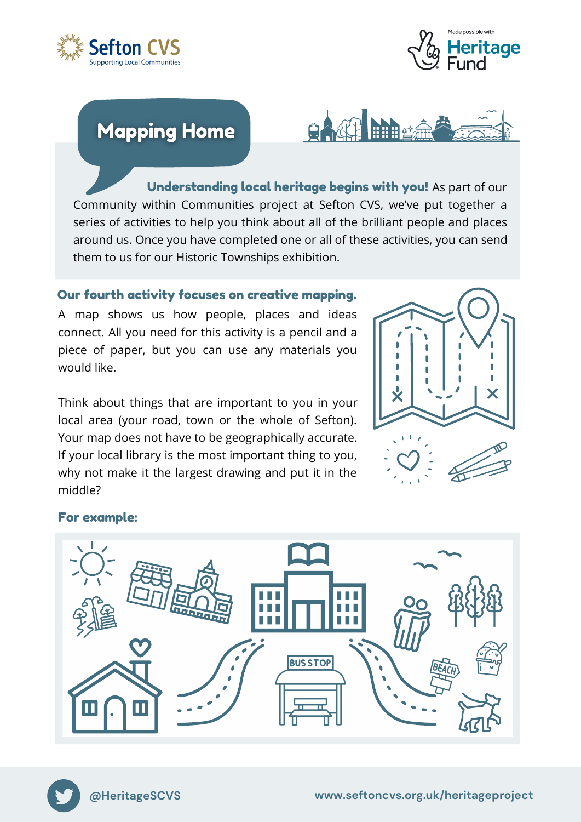



# **Mapping Home**



Understanding local heritage begins with you! As part of our Community within Communities project at Sefton CVS, we've put together a series of activities to help you think about all of the brilliant people and places around us. Once you have completed one or all of these activities, you can send them to us for our Historic Townships exhibition.

### Our fourth activity focuses on creative mapping.

A map shows us how people, places and ideas connect. All you need for this activity is a pencil and a piece of paper, but you can use any materials you would like.

Think about things that are important to you in your local area (your road, town or the whole of Sefton). Your map does not have to be geographically accurate. If your local library is the most important thing to you, why not make it the largest drawing and put it in the middle?



#### For example: